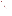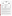





## **Verification Statement**

| <b>TECHNOLOGY TYPE:</b>     | <b>X-RAY FLUORESCENCE</b>                              |                       |                                          |
|-----------------------------|--------------------------------------------------------|-----------------------|------------------------------------------|
| <b>APPLICATION:</b>         | <b>MEASUREMENT OF LEAD IN DUST WIPES</b>               |                       |                                          |
| <b>TECHNOLOGY NAME:</b>     | <b>XL-300 Series XRF Instrument</b>                    |                       |                                          |
| <b>COMPANY:</b>             | <b>NITON</b> Corporation                               |                       |                                          |
| <b>ADDRESS:</b>             | 900 Middlesex Turnpike, Bldg. 8<br>Billerica, MA 01821 | <b>PHONE:</b><br>FAX: | $(978) 670 - 7460$<br>$(978) 670 - 7430$ |
| <b>WEB SITE:</b><br>E-MAIL: | www.niton.com<br>jishein@niton.com                     |                       |                                          |

The U.S. Environmental Protection Agency (EPA) has created the Environmental Technology Verification Program (ETV) to facilitate the deployment of innovative or improved environmental technologies through performance verification and dissemination of information. The goal of the ETV Program is to further environmental protection by substantially accelerating the acceptance and use of improved and cost-effective technologies. ETV seeks to achieve this goal by providing high-quality, peer-reviewed data on technology performance to those involved in the design, distribution, financing, permitting, purchase, and use of environmental technologies.

ETV works in partnership with recognized standards and testing organizations and stakeholder groups consisting of regulators, buyers, and vendor organizations, with the full participation of individual technology developers. The program evaluates the performance of innovative technologies by developing test plans that are responsive to the needs of stakeholders, conducting field or laboratory tests (as appropriate), collecting and analyzing data, and preparing peer-reviewed reports. All evaluations are conducted in accordance with rigorous quality assurance protocols to ensure that data of known and adequate quality are generated and that the results are defensible.

Oak Ridge National Laboratory (ORNL) is one of the verification organizations operating under the Advanced Monitoring Technology (AMT) Center. AMT, which is administered by EPA's National Exposure Research Laboratory (NERL), is one of six technology areas under ETV. In this verification test, ORNL evaluated the performance of lead in dust wipe measurement technologies. This verification statement provides a summary of the test results for NITON's XL-300 Series x-ray fluorescence (XRF) instrument.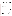## **VERIFICATION TEST DESCRIPTION**

This verification test was designed to evaluate technologies that detect and measure lead in dust wipes. The test was conducted at the Capitol Community Technical College in Hartford, CT, from November 5 through November 9, 2001. The vendors of commercially-available, field portable technologies blindly analyzed 160 dust wipe samples containing known amounts of lead, ranging in concentration from  $\leq$  2 to  $1,500 \mu g/wipe$ . The experimental design was particularly focused on important clearance levels, such as those identified in 40 CFR 745.65 of 40, 250, and 400  $\mu$ g/ft<sup>2</sup>. The samples included wipes newlyprepared and archived from the Environmental Lead Proficiency Analytical Testing Program (ELPAT). These samples were prepared from dust collected in households in North Carolina and Wisconsin. Also, newly-prepared samples were acquired from the University of Cincinnati (UC). The UC dust wipe samples were prepared from National Institute of Standards and Technology (NIST) Standard Reference Materials (SRMs). The results of the lead analyses generated by the technology were compared with results from analyses of similar samples by conventional laboratory methodology in a laboratory that was recognized as proficient by the National Lead Laboratory Accreditation Program (NLLAP) for clearance testing. Details of the test, including a data summary and discussion of results, may be found in the report entitled *Environmental Technology Verification Report: Lead in Dust Wipe Detection Technology— NITON Corporation, XL-300 Series X-Ray Fluorescence Instrument,* EPA/600/R-02/059. NITON's XL-700 Series XRF was also evaluated in the test and a separate report has been prepared (*Environmental Technology Verification Report: Lead in Dust Wipe Detection Technology— NITON Corporation, XL-700 Series X-Ray Fluorescence Instrument,* EPA/600/R-02/055).

## **TECHNOLOGY DESCRIPTION**

The XL-300 Series instrument, which is designed to quantify only lead, is an energy dispersive x-ray fluorescence (EDXRF) spectrometer that uses a sealed, 10 mCi cadmium-109 radioisotope source to excite characteristic x-rays of a test sample's constituent elements. These characteristic x-rays are continuously detected, identified, and quantified by the spectrometer during sample analysis. Stated simply, the energy of each x-ray detected identifies a particular element present in the sample, and the rate at which x-rays of a given energy are counted provides a determination of the quantity of that element that is present in the sample. Detection of the characteristic lead x-rays is achieved using a highly efficient, thermo-electrically cooled, solid-state, silicon PIN-diode detector, a part of the Dual Detector system. Signals from the Dual Detector are amplified, digitized, and then quantified via integral multichannel analysis and data processing units. Sample test results are displayed in total micrograms of lead per dust wipe. During this verification test, the instrument configuration was XL-309 and reporting limits were approximately 15  $\mu$ g/wipe.

## **VERIFICATION OF PERFORMANCE**

The following performance characteristics of the XL-300 Series XRF were observed:

*Precision:* Precision—based on the average percent relative standard deviation—was 8%.

Accuracy: Accuracy was assessed using the estimated concentrations of the ELPAT and UC samples. The average percent recovery value for all samples reported above 15  $\mu$ g/wipe was 94%. The slight negative bias was statistically significant, but well within the acceptable range of bias (100%  $\pm$  25%).

*Comparability:* A comparison of the XL-300 results and the NLLAP-recognized laboratory results was performed for all samples (ELPAT and UC) that were reported above 20  $\mu$ g/wipe. The correlation coefficient (*r*) for the comparison of the entire dust wipe data set was 0.999 [slope (*m*) = 0.849, intercept = 13.247], indicating good agreement with the NLLAP-laboratory data.